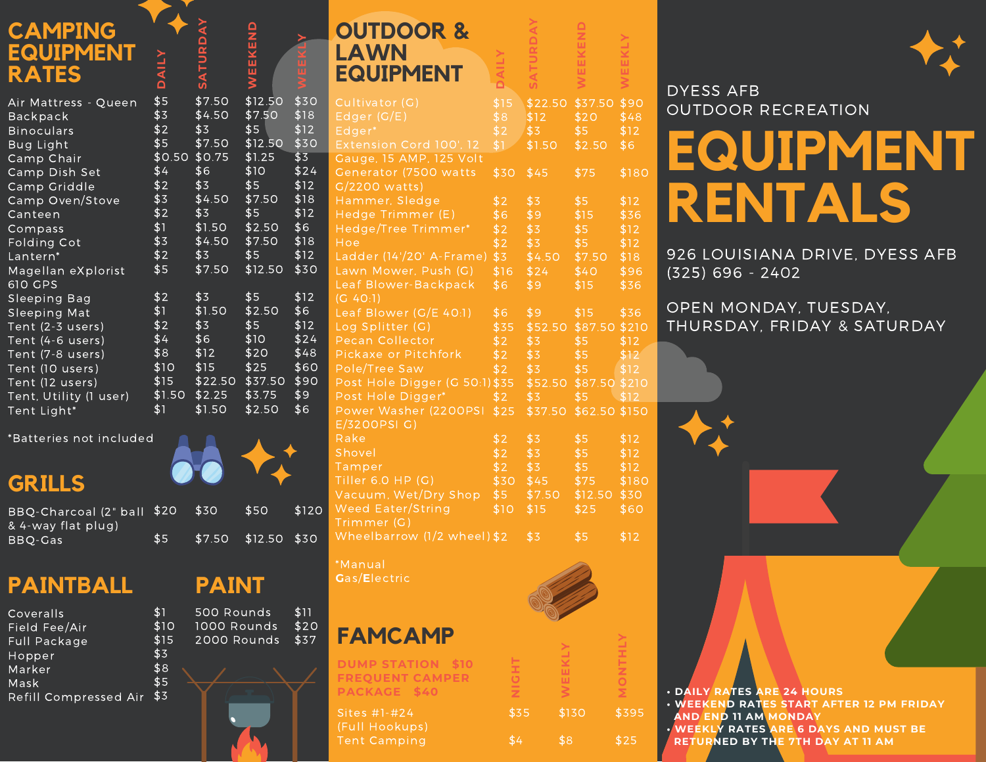| <b>CAMPING</b><br><b>EQUIPMENT</b><br><b>RATES</b>                                                                                                                                 | YIINO                                                  | SATURDA                                                                                     | WEEKEN                                                                       |                                                                   |
|------------------------------------------------------------------------------------------------------------------------------------------------------------------------------------|--------------------------------------------------------|---------------------------------------------------------------------------------------------|------------------------------------------------------------------------------|-------------------------------------------------------------------|
| Air Mattress - Queen<br>Backpack<br><b>Binoculars</b><br><b>Bug Light</b>                                                                                                          | \$5<br>\$3<br>\$2<br>\$5                               | \$7.50<br>\$4.50<br>\$3<br>\$7.50                                                           | \$12.50<br>\$7.50<br>\$5<br>\$12.50                                          | \$30<br>\$18<br>\$12<br>\$30                                      |
| Camp Chair<br>Camp Dish Set<br>Camp Griddle<br>Camp Oven/Stove<br>Canteen                                                                                                          | \$4<br>\$2<br>\$3<br>\$2                               | $$0.50$ $$0.75$<br>\$6<br>\$3<br>\$4.50<br>\$3                                              | \$1.25<br>\$10<br>\$5<br>\$7.50<br>\$5                                       | \$3<br>\$24<br>\$12<br>\$18<br>\$12                               |
| Compass<br>Folding Cot<br>Lantern*<br>Magellan eXplorist                                                                                                                           | \$1<br>\$3<br>\$2<br>\$5                               | \$1.50<br>\$4.50<br>\$3<br>\$7.50                                                           | \$2.50<br>\$7.50<br>\$5<br>\$12.50                                           | \$6<br>\$18<br>\$12<br>\$30                                       |
| 610 GPS<br>Sleeping Bag<br>Sleeping Mat<br>Tent (2-3 users)<br>Tent (4-6 users)<br>Tent (7-8 users)<br>Tent (10 users)<br>Tent (12 users)<br>Tent, Utility (1 user)<br>Tent Light* | \$2<br>\$1<br>\$2<br>\$4<br>\$8<br>\$10<br>\$15<br>\$1 | \$3<br>\$1.50<br>\$3<br>\$6<br>\$12<br>\$15<br>\$22.50 \$37.50<br>$$1.50$ $$2.25$<br>\$1.50 | \$5<br>\$2.50<br>\$5<br>\$10<br>$\overline{$}20$<br>\$25<br>\$3.75<br>\$2.50 | \$12<br>\$6<br>\$12<br>\$24<br>\$48<br>\$60<br>\$90<br>\$9<br>\$6 |

**Y**

\*Batteries not included

## **GRILLS**

| BBQ-Charcoal (2" ball \$20 |     | . S30          | \$50 |
|----------------------------|-----|----------------|------|
| & 4-way flat plug)         |     |                |      |
| BBO-Gas                    | \$5 | \$7.50 \$12.50 |      |

# **PAINTBALL**

| \$1  |
|------|
| \$10 |
| \$15 |
| \$3  |
| \$8  |
| \$5  |
| \$3  |
|      |

## **OUTDOOR & LAWN EQUIPMENT**

|   | Cultivator (G)                                       | \$15      |                  | \$22.50 \$37.50 \$90  |       |
|---|------------------------------------------------------|-----------|------------------|-----------------------|-------|
|   | Edger(G/E)                                           | \$8       | \$12             | \$20                  | \$48  |
|   | Edger*                                               | \$2       | \$3              | \$5                   | \$12  |
|   | Extension Cord 100', 12                              | \$V       | \$1.50           | \$2.50                | \$6   |
|   | Gauge, 15 AMP, 125 Volt                              |           |                  |                       |       |
|   | Generator (7500 watts                                | \$30 \$45 |                  | \$75                  | \$180 |
|   | G/2200 watts)                                        |           |                  |                       |       |
|   | Hammer, Sledge                                       | \$2       | \$3              | \$5                   | \$12  |
|   | Hedge Trimmer (E)                                    | \$6       | \$9              | \$15                  | \$36  |
|   | Hedge/Tree Trimmer*                                  | \$2       | $\sqrt{3}$       | \$5                   | \$12  |
|   | Hoe                                                  | \$2       | $\overline{$3$}$ | \$5                   | \$12  |
|   | Ladder (14'/20' A-Frame)                             |           | $$3$ $$4.50$     | \$7.50                | \$18  |
|   | Lawn Mower, Push (G)                                 |           | $$16$ $$24$      | \$40                  | \$96  |
|   | Leaf Blower-Backpack                                 | \$6       | \$9              | \$15                  | \$36  |
|   | (G 40:1)                                             |           |                  |                       |       |
|   | Leaf Blower (G/E 40:1)                               | \$6       | \$9              | \$15                  | \$36  |
|   | Log Splitter (G)                                     | \$35      |                  | \$52.50 \$87.50 \$210 |       |
|   | Pecan Collector                                      | \$2       | $\overline{$3$}$ | \$5                   | \$12  |
|   | Pickaxe or Pitchfork                                 | \$2       | \$3              | \$5                   | \$12  |
|   | Pole/Tree Saw                                        | \$2       | \$3              | $$5$ $$12$            |       |
|   | Post Hole Digger (G 50:1) \$35 \$52.50 \$87.50 \$210 |           |                  |                       |       |
|   | Post Hole Digger*                                    | \$2       | \$3              | $\overline{\$5}$      | \$12  |
|   | Power Washer (2200PSI                                | \$25      | \$37.50          | \$62.50 \$150         |       |
|   | E/3200PSI G)                                         |           |                  |                       |       |
|   | Rake                                                 | \$2       | \$3              | \$5                   | \$12  |
|   | Shovel                                               | \$2       | \$3              | \$5                   | \$12  |
|   | Tamper                                               | \$2       | \$3              | \$5                   | \$12  |
|   | Tiller 6.0 HP (G)                                    |           | \$30 \$45        | \$75                  | \$180 |
|   | Vacuum, Wet/Dry Shop                                 | \$5       | \$7.50           | $$12.50$ \$30         |       |
| Ō | Weed Eater/String                                    | \$10      | \$15             | \$25                  | \$60  |
|   | Trimmer (G)                                          |           |                  |                       |       |
|   | Wheelbarrow (1/2 wheel) \$2                          |           | \$3              | \$5                   | \$12  |
|   |                                                      |           |                  |                       |       |

**DAIL Y**

**SA T**

**W**

**W**

**KLY**

**KEN**

**A Y**

\*Manual **G**as/**E**lectric

\$120

\$30

\$11 \$20 \$37

500 Rounds 1000 Rounds 2000 Rounds

**PAINT**

**FAMCAMP**

**DUMP STATION \$10 FREQUENT CAMPER**

Sites #1-#24 (Full Hookups)

\$130 \$8 **WLY** \$395 \$25 **TLY**

\$35

**NIG HT**

\$4



#### DYESS AFB OUTDOOR RECREATION

# **EQUIPMENT RENTALS**

926 LOUISIANA DRIVE, DYESS AFB (325) 696 - 2402

#### OPEN MONDAY, TUESDAY, THURSDAY, FRIDAY & SATURDAY

**PACKAGE** \$40  $\overline{z}$   $\leq$   $\overline{z}$  **• DAILY RATES** ARE 24 HOURS **• WEEKEND RATES START AFTER 12 PM FRIDAY AND END 11 AM MONDAY • WEEKLY RATES ARE 6 DAYS AND MUST BE**

**RETURNED BY THE 7TH DAY AT 11 AM**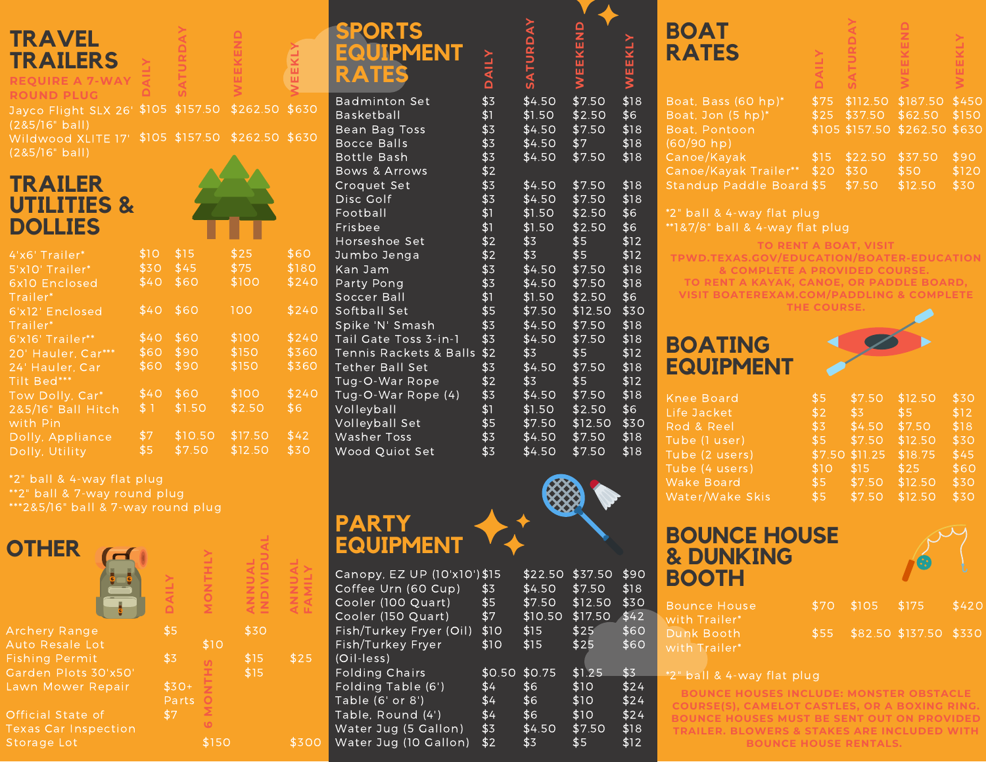#### **TRAVEL <sup>Y</sup> TRAILERS REQUIRE A 7-WAY**

#### **ROUND PLUG**

Jayco Flight SLX 26' \$105 \$157.50 \$262.50 \$630 (2&5/16" ball)

**SA TUDA Y**

**AIL Y**

Wildwood XLITE 17' \$105 \$157.50 \$262.50 \$630 (2&5/16" ball)

### **TRAILER UTILITIES & DOLLIES**



**W**

**KND**

**WEEKLY**

| 4'x6' Trailer*     | \$10 | \$15    | \$25    | \$60  |
|--------------------|------|---------|---------|-------|
| 5'x10' Trailer*    | \$30 | \$45    | \$75    | \$180 |
| 6x10 Enclosed      | \$40 | \$60    | \$100   | \$240 |
| Trailer*           |      |         |         |       |
| 6'x12' Enclosed    | \$40 | \$60    | 100     | \$240 |
| Trailer*           |      |         |         |       |
| 6'x16' Trailer**   | \$40 | \$60    | \$100   | \$240 |
| 20' Hauler, Car*** | \$60 | \$90    | \$150   | \$360 |
| 24' Hauler, Car    | \$60 | \$90    | \$150   | \$360 |
| Tilt Bed***        |      |         |         |       |
| Tow Dolly, Car*    | \$40 | \$60    | \$100   | \$240 |
| 2&5/16" Ball Hitch | \$ 1 | \$1.50  | \$2.50  | \$6   |
| with Pin           |      |         |         |       |
| Dolly, Appliance   | \$7  | \$10.50 | \$17.50 | \$42  |
| Dolly, Utility     | \$5  | \$7.50  | \$12.50 | \$30  |
|                    |      |         |         |       |

\*2" ball & 4-way flat plug \*\*2" ball & 7-way round plug

\*\*\*2&5/16" ball & 7-way round plug

| <b>OTHER</b>                | ≏      | $\circ$   |      |      |
|-----------------------------|--------|-----------|------|------|
| <b>Archery Range</b>        | \$5    |           | \$30 |      |
| Auto Resale Lot             |        | \$10      |      |      |
| <b>Fishing Permit</b>       | \$3    | n         | 515  | \$25 |
| Garden Plots 30'x50'        |        | ÷         | \$15 |      |
| Lawn Mower Repair           | $$30+$ |           |      |      |
|                             | Parts  | Ō         |      |      |
| Official State of           | \$7    | Σ         |      |      |
| <b>Texas Car Inspection</b> |        | <b>LO</b> |      |      |
| Storage Lot                 |        | \$150     |      |      |
|                             |        |           |      |      |

| <b>SPORTS</b>    |  |
|------------------|--|
| <b>EQUIPMENT</b> |  |
| RATE!            |  |

| Badminton Set            | \$3 | \$4.50 | \$7.50  | \$18 |
|--------------------------|-----|--------|---------|------|
| <b>Basketball</b>        | \$1 | \$1.50 | \$2.50  | \$6  |
| Bean Bag Toss            | \$3 | \$4.50 | \$7.50  | \$18 |
| <b>Bocce Balls</b>       | \$3 | \$4.50 | \$7     | \$18 |
| Bottle Bash              | \$3 | \$4.50 | \$7.50  | \$18 |
| <b>Bows &amp; Arrows</b> | \$2 |        |         |      |
| Croquet Set              | \$3 | \$4.50 | \$7.50  | \$18 |
| Disc Golf                | \$3 | \$4.50 | \$7.50  | \$18 |
| Football                 | \$1 | \$1.50 | \$2.50  | \$6  |
| Frisbee                  | \$1 | \$1.50 | \$2.50  | \$6  |
| Horseshoe Set            | \$2 | \$3    | \$5     | \$12 |
| Jumbo Jenga              | \$2 | \$3    | \$5     | \$12 |
| Kan Jam                  | \$3 | \$4.50 | \$7.50  | \$18 |
| Party Pong               | \$3 | \$4.50 | \$7.50  | \$18 |
| Soccer Ball              | \$1 | \$1.50 | \$2.50  | \$6  |
| Softball Set             | \$5 | \$7.50 | \$12.50 | \$30 |
| Spike 'N' Smash          | \$3 | \$4.50 | \$7.50  | \$18 |
| Tail Gate Toss 3-in-1    | \$3 | \$4.50 | \$7.50  | \$18 |
| Tennis Rackets & Balls   | \$2 | \$3    | \$5     | \$12 |
| <b>Tether Ball Set</b>   | \$3 | \$4.50 | \$7.50  | \$18 |
| Tug-O-War Rope           | \$2 | \$3    | \$5     | \$12 |
| Tug-O-War Rope (4)       | \$3 | \$4.50 | \$7.50  | \$18 |
| Volleyball               | \$1 | \$1.50 | \$2.50  | \$6  |
| Volleyball Set           | \$5 | \$7.50 | \$12.50 | \$30 |
| Washer Toss              | \$3 | \$4.50 | \$7.50  | \$18 |
| Wood Quiot Set           | \$3 | \$4.50 | \$7.50  | \$18 |

**DAIL Y**

**SA TURDA Y**

**WEEKEND**



## **PARTY EQUIPMENT**

\$25

**FA MIL Y**

\$300

| Canopy, EZ UP (10'x10') \$15<br>Coffee Urn (60 Cup)<br>Cooler (100 Quart)<br>Cooler (150 Quart)<br>Fish/Turkey Fryer (Oil)<br>Fish/Turkey Fryer | \$3<br>\$5<br>\$7<br>\$10<br>\$10 | \$22.50<br>\$4.50<br>\$7.50<br>\$10.50<br>\$15<br>\$15 | \$37.50<br>\$7.50<br>\$12.50<br>\$17.50<br>\$25<br>\$25 | \$90<br>\$18<br>\$30<br>\$42<br>\$60<br>\$60 |
|-------------------------------------------------------------------------------------------------------------------------------------------------|-----------------------------------|--------------------------------------------------------|---------------------------------------------------------|----------------------------------------------|
| $(Oil-less)$                                                                                                                                    |                                   |                                                        |                                                         |                                              |
|                                                                                                                                                 |                                   |                                                        |                                                         |                                              |
| <b>Folding Chairs</b>                                                                                                                           | \$0.50                            | \$0.75                                                 | \$1.25                                                  | \$3                                          |
| Folding Table (6')                                                                                                                              | \$4                               | \$6.                                                   | \$10                                                    | \$24                                         |
| Table (6' or 8')                                                                                                                                | \$4                               | \$6                                                    | \$10                                                    | \$24                                         |
| Table, Round (4')                                                                                                                               | \$4                               | \$6                                                    | \$10                                                    | \$24                                         |
| Water Jug (5 Gallon)                                                                                                                            | \$3                               | \$4.50                                                 | \$7.50                                                  | \$18                                         |
| Water Jug (10 Gallon)                                                                                                                           | \$2                               | \$3                                                    | \$5                                                     | \$12                                         |

|      | <b>BOAT</b>                                                                                                                         |                                                                                                                                                              |                                                                                |                                                                                                    |                                                                                                                                                                                                                                                                                 |
|------|-------------------------------------------------------------------------------------------------------------------------------------|--------------------------------------------------------------------------------------------------------------------------------------------------------------|--------------------------------------------------------------------------------|----------------------------------------------------------------------------------------------------|---------------------------------------------------------------------------------------------------------------------------------------------------------------------------------------------------------------------------------------------------------------------------------|
|      |                                                                                                                                     |                                                                                                                                                              |                                                                                |                                                                                                    | EEKLY                                                                                                                                                                                                                                                                           |
|      |                                                                                                                                     |                                                                                                                                                              |                                                                                |                                                                                                    |                                                                                                                                                                                                                                                                                 |
| \$18 | Boat, Bass (60 hp)*                                                                                                                 | \$75                                                                                                                                                         | \$112.50                                                                       | \$187.50                                                                                           | \$45                                                                                                                                                                                                                                                                            |
|      |                                                                                                                                     |                                                                                                                                                              |                                                                                |                                                                                                    | \$150                                                                                                                                                                                                                                                                           |
|      |                                                                                                                                     |                                                                                                                                                              |                                                                                |                                                                                                    | \$63                                                                                                                                                                                                                                                                            |
|      |                                                                                                                                     |                                                                                                                                                              | \$22.50                                                                        | \$37.50                                                                                            | \$90                                                                                                                                                                                                                                                                            |
|      |                                                                                                                                     |                                                                                                                                                              | \$30                                                                           | \$50                                                                                               | \$120                                                                                                                                                                                                                                                                           |
| \$18 |                                                                                                                                     |                                                                                                                                                              | \$7.50                                                                         | \$12.50                                                                                            | \$30                                                                                                                                                                                                                                                                            |
| \$18 |                                                                                                                                     |                                                                                                                                                              |                                                                                |                                                                                                    |                                                                                                                                                                                                                                                                                 |
| \$6  |                                                                                                                                     |                                                                                                                                                              |                                                                                |                                                                                                    |                                                                                                                                                                                                                                                                                 |
|      |                                                                                                                                     |                                                                                                                                                              |                                                                                |                                                                                                    |                                                                                                                                                                                                                                                                                 |
|      |                                                                                                                                     |                                                                                                                                                              |                                                                                |                                                                                                    |                                                                                                                                                                                                                                                                                 |
|      |                                                                                                                                     |                                                                                                                                                              |                                                                                |                                                                                                    |                                                                                                                                                                                                                                                                                 |
|      |                                                                                                                                     |                                                                                                                                                              |                                                                                |                                                                                                    |                                                                                                                                                                                                                                                                                 |
|      |                                                                                                                                     |                                                                                                                                                              |                                                                                |                                                                                                    |                                                                                                                                                                                                                                                                                 |
|      |                                                                                                                                     |                                                                                                                                                              |                                                                                |                                                                                                    |                                                                                                                                                                                                                                                                                 |
|      |                                                                                                                                     |                                                                                                                                                              |                                                                                |                                                                                                    |                                                                                                                                                                                                                                                                                 |
|      |                                                                                                                                     |                                                                                                                                                              |                                                                                |                                                                                                    |                                                                                                                                                                                                                                                                                 |
|      |                                                                                                                                     |                                                                                                                                                              |                                                                                |                                                                                                    |                                                                                                                                                                                                                                                                                 |
|      |                                                                                                                                     |                                                                                                                                                              |                                                                                |                                                                                                    |                                                                                                                                                                                                                                                                                 |
|      |                                                                                                                                     |                                                                                                                                                              |                                                                                |                                                                                                    |                                                                                                                                                                                                                                                                                 |
| \$18 |                                                                                                                                     |                                                                                                                                                              |                                                                                |                                                                                                    | \$30                                                                                                                                                                                                                                                                            |
|      | WEEKLY<br>\$6<br>\$18<br>\$18<br>\$18<br>\$6<br>\$12<br>\$12<br>\$18<br>\$18<br>\$6<br>\$30<br>\$18<br>\$18<br>\$12<br>\$18<br>\$12 | <b>RATES</b><br>Boat, Jon (5 hp)*<br>Boat, Pontoon<br>(60/90 hp)<br>Canoe/Kayak<br>Canoe/Kayak Trailer**<br><b>BOATING</b><br><b>EQUIPMENT</b><br>Knee Board | \$15<br>\$20<br>Standup Paddle Board \$5<br>*2" ball & 4-way flat plug<br>\$5. | <b>ATUR</b><br>\$25<br>\$37.50<br>\$105 \$157.50<br>**1&7/8" ball & 4-way flat plug<br>THE COURSE. | $\frac{1}{2}$<br>EEKI<br>\$62.50<br>\$262.50<br><b>TO RENT A BOAT, VISIT</b><br>TPWD.TEXAS.GOV/EDUCATION/BOATER-EDUCATIOI<br>& COMPLETE A PROVIDED COURSE.<br>TO RENT A KAYAK, CANOE, OR PADDLE BOARD,<br><b>VISIT BOATEREXAM.COM/PADDLING &amp; COMPLETE</b><br>$$750$ \$12.50 |

| <b>Knee Board</b> | \$5         | \$7.50         | \$12.50 | \$30 |
|-------------------|-------------|----------------|---------|------|
| Life Jacket       | \$2         | \$3            | \$5     | \$12 |
| Rod & Reel        | \$3         | \$4.50         | \$7.50  | \$18 |
| Tube (1 user)     | \$5         | \$7.50         | \$12.50 | \$30 |
| Tube (2 users)    |             | \$7.50 \$11.25 | \$18.75 | \$45 |
| Tube (4 users)    | \$10        | \$15           | \$25    | \$60 |
| Wake Board        | $$5$ \$7.50 |                | \$12.50 | \$30 |
| Water/Wake Skis   | \$5         | \$7.50         | \$12.50 | \$30 |

#### **BOUNCE HOUSE & DUNKING BOOTH**



\$150

\$90 \$120 \$30

**CATION** 

| ise | \$70 \$105 \$175 |                             | \$420 |
|-----|------------------|-----------------------------|-------|
|     |                  | \$55 \$82.50 \$137.50 \$330 |       |

#### \*2" ball & 4-way flat plug

with Trailer<sup>\*</sup> Dunk Booth with Trailer'

**BOUNCE HOUSES INCLUDE: MONSTER OBSTACLE COURSE(S), CAMELOT CASTLES, OR A BOXING RING. BOUNCE HOUSES MUST BE SENT OUT ON PROVIDED TRAILER. BLOWERS & STAKES ARE INCLUDED WITH BOUNCE HOUSE RENTALS.**